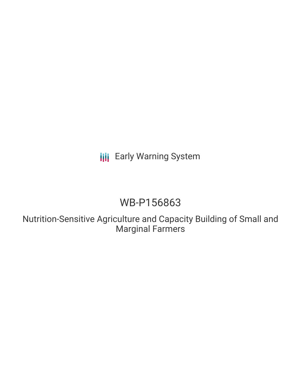**III** Early Warning System

## WB-P156863

Nutrition-Sensitive Agriculture and Capacity Building of Small and Marginal Farmers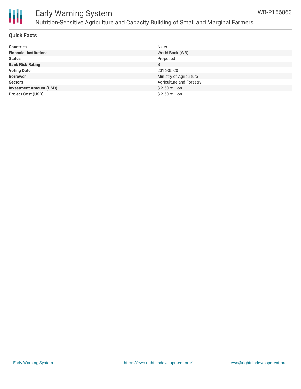

## Early Warning System Nutrition-Sensitive Agriculture and Capacity Building of Small and Marginal Farmers

#### **Quick Facts**

| <b>Countries</b>               | Niger                           |
|--------------------------------|---------------------------------|
| <b>Financial Institutions</b>  | World Bank (WB)                 |
| <b>Status</b>                  | Proposed                        |
| <b>Bank Risk Rating</b>        | B                               |
| <b>Voting Date</b>             | 2016-05-20                      |
| <b>Borrower</b>                | Ministry of Agriculture         |
| <b>Sectors</b>                 | <b>Agriculture and Forestry</b> |
| <b>Investment Amount (USD)</b> | $$2.50$ million                 |
| <b>Project Cost (USD)</b>      | $$2.50$ million                 |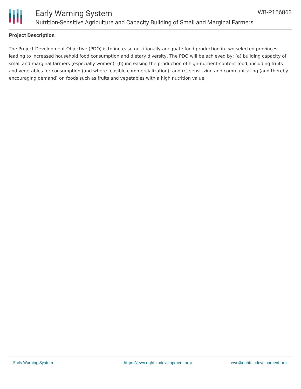

# Ш

#### **Project Description**

The Project Development Objective (PDO) is to increase nutritionally-adequate food production in two selected provinces, leading to increased household food consumption and dietary diversity. The PDO will be achieved by: (a) building capacity of small and marginal farmers (especially women); (b) increasing the production of high-nutrient-content food, including fruits and vegetables for consumption (and where feasible commercialization); and (c) sensitizing and communicating (and thereby encouraging demand) on foods such as fruits and vegetables with a high nutrition value.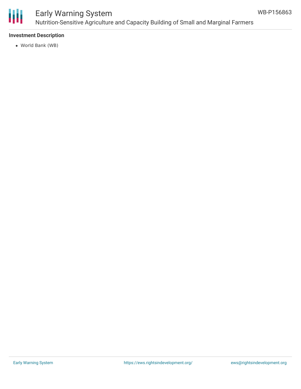

### Early Warning System Nutrition-Sensitive Agriculture and Capacity Building of Small and Marginal Farmers

#### **Investment Description**

World Bank (WB)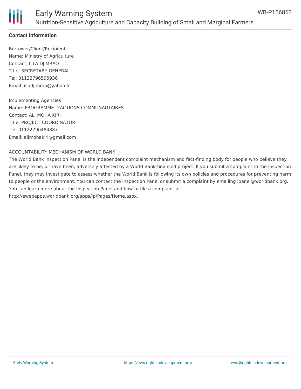

#### **Contact Information**

Borrower/Client/Recipient Name: Ministry of Agriculture Contact: ILLA DJIMRAO Title: SECRETARY GENERAL Tel: 01122796595936 Email: illadjimrao@yahoo.fr

Implementing Agencies Name: PROGRAMME D'ACTIONS COMMUNAUTAIRES Contact: ALI MOHA KIRI Title: PROJECT COORDINATOR Tel: 01122790484887 Email: alimohakiri@gmail.com

#### ACCOUNTABILITY MECHANISM OF WORLD BANK

The World Bank Inspection Panel is the independent complaint mechanism and fact-finding body for people who believe they are likely to be, or have been, adversely affected by a World Bank-financed project. If you submit a complaint to the Inspection Panel, they may investigate to assess whether the World Bank is following its own policies and procedures for preventing harm to people or the environment. You can contact the Inspection Panel or submit a complaint by emailing ipanel@worldbank.org. You can learn more about the Inspection Panel and how to file a complaint at: http://ewebapps.worldbank.org/apps/ip/Pages/Home.aspx.